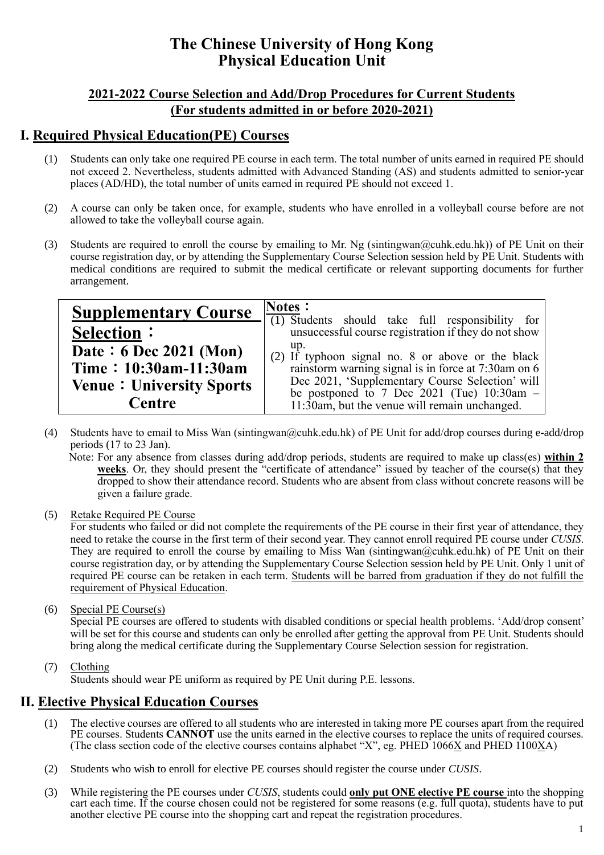# **The Chinese University of Hong Kong Physical Education Unit**

#### **2021-2022 Course Selection and Add/Drop Procedures for Current Students (For students admitted in or before 2020-2021)**

### **Ⅰ. Required Physical Education(PE) Courses**

- (1) Students can only take one required PE course in each term. The total number of units earned in required PE should not exceed 2. Nevertheless, students admitted with Advanced Standing (AS) and students admitted to senior-year places (AD/HD), the total number of units earned in required PE should not exceed 1.
- (2) A course can only be taken once, for example, students who have enrolled in a volleyball course before are not allowed to take the volleyball course again.
- (3) Students are required to enroll the course by emailing to Mr. Ng (sintingwan@cuhk.edu.hk)) of PE Unit on their course registration day, or by attending the Supplementary Course Selection session held by PE Unit. Students with medical conditions are required to submit the medical certificate or relevant supporting documents for further arrangement.

| <b>Supplementary Course</b>     | Notes:<br>$\overline{(1)}$ Students should take full responsibility for                          |  |  |  |
|---------------------------------|--------------------------------------------------------------------------------------------------|--|--|--|
| <b>Selection:</b>               | unsuccessful course registration if they do not show                                             |  |  |  |
| Date: $6$ Dec 2021 (Mon)        | up.<br>(2) If typhoon signal no. 8 or above or the black                                         |  |  |  |
| Time: 10:30am-11:30am           | rainstorm warning signal is in force at 7:30am on 6                                              |  |  |  |
| <b>Venue: University Sports</b> | Dec 2021, 'Supplementary Course Selection' will<br>be postponed to 7 Dec 2021 (Tue) $10:30$ am - |  |  |  |
| Centre                          | 11:30am, but the venue will remain unchanged.                                                    |  |  |  |

(4) Students have to email to Miss Wan (sintingwan@cuhk.edu.hk) of PE Unit for add/drop courses during e-add/drop periods (17 to 23 Jan).

Note: For any absence from classes during add/drop periods, students are required to make up class(es) **within 2 weeks**. Or, they should present the "certificate of attendance" issued by teacher of the course(s) that they dropped to show their attendance record. Students who are absent from class without concrete reasons will be given a failure grade.

(5) Retake Required PE Course

For students who failed or did not complete the requirements of the PE course in their first year of attendance, they need to retake the course in the first term of their second year. They cannot enroll required PE course under *CUSIS*. They are required to enroll the course by emailing to Miss Wan (sintingwan@cuhk.edu.hk) of PE Unit on their course registration day, or by attending the Supplementary Course Selection session held by PE Unit. Only 1 unit of required PE course can be retaken in each term. Students will be barred from graduation if they do not fulfill the requirement of Physical Education.

(6) Special PE Course(s)

Special PE courses are offered to students with disabled conditions or special health problems. 'Add/drop consent' will be set for this course and students can only be enrolled after getting the approval from PE Unit. Students should bring along the medical certificate during the Supplementary Course Selection session for registration.

(7) Clothing

Students should wear PE uniform as required by PE Unit during P.E. lessons.

### **Ⅱ. Elective Physical Education Courses**

- (1) The elective courses are offered to all students who are interested in taking more PE courses apart from the required PE courses. Students **CANNOT** use the units earned in the elective courses to replace the units of required courses. (The class section code of the elective courses contains alphabet "X", eg. PHED 1066X and PHED 1100XA)
- (2) Students who wish to enroll for elective PE courses should register the course under *CUSIS*.
- (3) While registering the PE courses under *CUSIS*, students could **only put ONE elective PE course** into the shopping cart each time. If the course chosen could not be registered for some reasons (e.g. full quota), students have to put another elective PE course into the shopping cart and repeat the registration procedures.